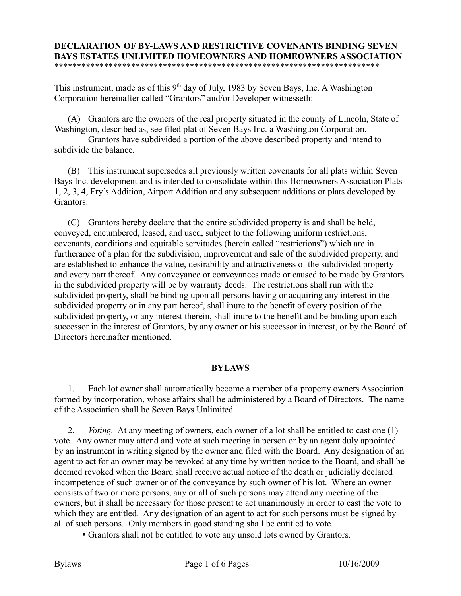## **DECLARATION OF BY-LAWS AND RESTRICTIVE COVENANTS BINDING SEVEN BAYS ESTATES UNLIMITED HOMEOWNERS AND HOMEOWNERS ASSOCIATION** \*\*\*\*\*\*\*\*\*\*\*\*\*\*\*\*\*\*\*\*\*\*\*\*\*\*\*\*\*\*\*\*\*\*\*\*\*\*\*\*\*\*\*\*\*\*\*\*\*\*\*\*\*\*\*\*\*\*\*\*\*\*\*\*\*\*\*\*\*\*\*\*

This instrument, made as of this  $9<sup>th</sup>$  day of July, 1983 by Seven Bays, Inc. A Washington Corporation hereinafter called "Grantors" and/or Developer witnesseth:

(A) Grantors are the owners of the real property situated in the county of Lincoln, State of Washington, described as, see filed plat of Seven Bays Inc. a Washington Corporation.

Grantors have subdivided a portion of the above described property and intend to subdivide the balance.

(B) This instrument supersedes all previously written covenants for all plats within Seven Bays Inc. development and is intended to consolidate within this Homeowners Association Plats 1, 2, 3, 4, Fry's Addition, Airport Addition and any subsequent additions or plats developed by Grantors.

(C) Grantors hereby declare that the entire subdivided property is and shall be held, conveyed, encumbered, leased, and used, subject to the following uniform restrictions, covenants, conditions and equitable servitudes (herein called "restrictions") which are in furtherance of a plan for the subdivision, improvement and sale of the subdivided property, and are established to enhance the value, desirability and attractiveness of the subdivided property and every part thereof. Any conveyance or conveyances made or caused to be made by Grantors in the subdivided property will be by warranty deeds. The restrictions shall run with the subdivided property, shall be binding upon all persons having or acquiring any interest in the subdivided property or in any part hereof, shall inure to the benefit of every position of the subdivided property, or any interest therein, shall inure to the benefit and be binding upon each successor in the interest of Grantors, by any owner or his successor in interest, or by the Board of Directors hereinafter mentioned.

## **BYLAWS**

1. Each lot owner shall automatically become a member of a property owners Association formed by incorporation, whose affairs shall be administered by a Board of Directors. The name of the Association shall be Seven Bays Unlimited.

2. *Voting.* At any meeting of owners, each owner of a lot shall be entitled to cast one (1) vote. Any owner may attend and vote at such meeting in person or by an agent duly appointed by an instrument in writing signed by the owner and filed with the Board. Any designation of an agent to act for an owner may be revoked at any time by written notice to the Board, and shall be deemed revoked when the Board shall receive actual notice of the death or judicially declared incompetence of such owner or of the conveyance by such owner of his lot. Where an owner consists of two or more persons, any or all of such persons may attend any meeting of the owners, but it shall be necessary for those present to act unanimously in order to cast the vote to which they are entitled. Any designation of an agent to act for such persons must be signed by all of such persons. Only members in good standing shall be entitled to vote.

• Grantors shall not be entitled to vote any unsold lots owned by Grantors.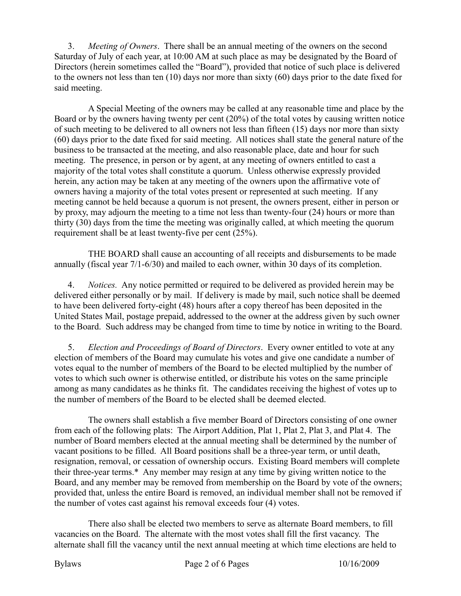3. *Meeting of Owners*. There shall be an annual meeting of the owners on the second Saturday of July of each year, at 10:00 AM at such place as may be designated by the Board of Directors (herein sometimes called the "Board"), provided that notice of such place is delivered to the owners not less than ten (10) days nor more than sixty (60) days prior to the date fixed for said meeting.

A Special Meeting of the owners may be called at any reasonable time and place by the Board or by the owners having twenty per cent (20%) of the total votes by causing written notice of such meeting to be delivered to all owners not less than fifteen (15) days nor more than sixty (60) days prior to the date fixed for said meeting. All notices shall state the general nature of the business to be transacted at the meeting, and also reasonable place, date and hour for such meeting. The presence, in person or by agent, at any meeting of owners entitled to cast a majority of the total votes shall constitute a quorum. Unless otherwise expressly provided herein, any action may be taken at any meeting of the owners upon the affirmative vote of owners having a majority of the total votes present or represented at such meeting. If any meeting cannot be held because a quorum is not present, the owners present, either in person or by proxy, may adjourn the meeting to a time not less than twenty-four (24) hours or more than thirty (30) days from the time the meeting was originally called, at which meeting the quorum requirement shall be at least twenty-five per cent (25%).

THE BOARD shall cause an accounting of all receipts and disbursements to be made annually (fiscal year 7/1-6/30) and mailed to each owner, within 30 days of its completion.

4. *Notices.* Any notice permitted or required to be delivered as provided herein may be delivered either personally or by mail. If delivery is made by mail, such notice shall be deemed to have been delivered forty-eight (48) hours after a copy thereof has been deposited in the United States Mail, postage prepaid, addressed to the owner at the address given by such owner to the Board. Such address may be changed from time to time by notice in writing to the Board.

5. *Election and Proceedings of Board of Directors*. Every owner entitled to vote at any election of members of the Board may cumulate his votes and give one candidate a number of votes equal to the number of members of the Board to be elected multiplied by the number of votes to which such owner is otherwise entitled, or distribute his votes on the same principle among as many candidates as he thinks fit. The candidates receiving the highest of votes up to the number of members of the Board to be elected shall be deemed elected.

The owners shall establish a five member Board of Directors consisting of one owner from each of the following plats: The Airport Addition, Plat 1, Plat 2, Plat 3, and Plat 4. The number of Board members elected at the annual meeting shall be determined by the number of vacant positions to be filled. All Board positions shall be a three-year term, or until death, resignation, removal, or cessation of ownership occurs. Existing Board members will complete their three-year terms.\* Any member may resign at any time by giving written notice to the Board, and any member may be removed from membership on the Board by vote of the owners; provided that, unless the entire Board is removed, an individual member shall not be removed if the number of votes cast against his removal exceeds four (4) votes.

There also shall be elected two members to serve as alternate Board members, to fill vacancies on the Board. The alternate with the most votes shall fill the first vacancy. The alternate shall fill the vacancy until the next annual meeting at which time elections are held to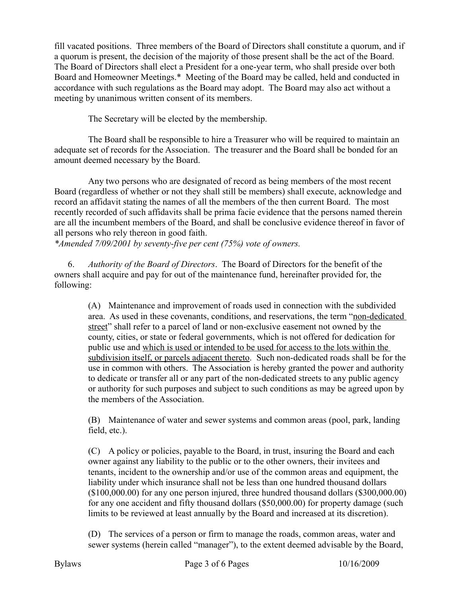fill vacated positions. Three members of the Board of Directors shall constitute a quorum, and if a quorum is present, the decision of the majority of those present shall be the act of the Board. The Board of Directors shall elect a President for a one-year term, who shall preside over both Board and Homeowner Meetings.\* Meeting of the Board may be called, held and conducted in accordance with such regulations as the Board may adopt. The Board may also act without a meeting by unanimous written consent of its members.

The Secretary will be elected by the membership.

The Board shall be responsible to hire a Treasurer who will be required to maintain an adequate set of records for the Association. The treasurer and the Board shall be bonded for an amount deemed necessary by the Board.

Any two persons who are designated of record as being members of the most recent Board (regardless of whether or not they shall still be members) shall execute, acknowledge and record an affidavit stating the names of all the members of the then current Board. The most recently recorded of such affidavits shall be prima facie evidence that the persons named therein are all the incumbent members of the Board, and shall be conclusive evidence thereof in favor of all persons who rely thereon in good faith.

*\*Amended 7/09/2001 by seventy-five per cent (75%) vote of owners.*

6. *Authority of the Board of Directors*. The Board of Directors for the benefit of the owners shall acquire and pay for out of the maintenance fund, hereinafter provided for, the following:

> (A) Maintenance and improvement of roads used in connection with the subdivided area. As used in these covenants, conditions, and reservations, the term "non-dedicated street" shall refer to a parcel of land or non-exclusive easement not owned by the county, cities, or state or federal governments, which is not offered for dedication for public use and which is used or intended to be used for access to the lots within the subdivision itself, or parcels adjacent thereto. Such non-dedicated roads shall be for the use in common with others. The Association is hereby granted the power and authority to dedicate or transfer all or any part of the non-dedicated streets to any public agency or authority for such purposes and subject to such conditions as may be agreed upon by the members of the Association.

(B) Maintenance of water and sewer systems and common areas (pool, park, landing field, etc.).

(C) A policy or policies, payable to the Board, in trust, insuring the Board and each owner against any liability to the public or to the other owners, their invitees and tenants, incident to the ownership and/or use of the common areas and equipment, the liability under which insurance shall not be less than one hundred thousand dollars (\$100,000.00) for any one person injured, three hundred thousand dollars (\$300,000.00) for any one accident and fifty thousand dollars (\$50,000.00) for property damage (such limits to be reviewed at least annually by the Board and increased at its discretion).

(D) The services of a person or firm to manage the roads, common areas, water and sewer systems (herein called "manager"), to the extent deemed advisable by the Board,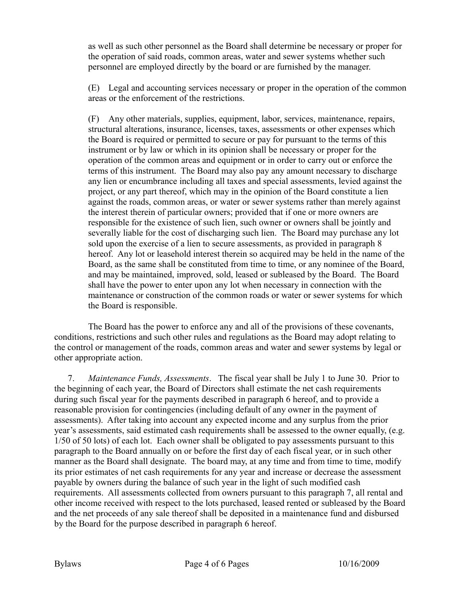as well as such other personnel as the Board shall determine be necessary or proper for the operation of said roads, common areas, water and sewer systems whether such personnel are employed directly by the board or are furnished by the manager.

(E) Legal and accounting services necessary or proper in the operation of the common areas or the enforcement of the restrictions.

(F) Any other materials, supplies, equipment, labor, services, maintenance, repairs, structural alterations, insurance, licenses, taxes, assessments or other expenses which the Board is required or permitted to secure or pay for pursuant to the terms of this instrument or by law or which in its opinion shall be necessary or proper for the operation of the common areas and equipment or in order to carry out or enforce the terms of this instrument. The Board may also pay any amount necessary to discharge any lien or encumbrance including all taxes and special assessments, levied against the project, or any part thereof, which may in the opinion of the Board constitute a lien against the roads, common areas, or water or sewer systems rather than merely against the interest therein of particular owners; provided that if one or more owners are responsible for the existence of such lien, such owner or owners shall be jointly and severally liable for the cost of discharging such lien. The Board may purchase any lot sold upon the exercise of a lien to secure assessments, as provided in paragraph 8 hereof. Any lot or leasehold interest therein so acquired may be held in the name of the Board, as the same shall be constituted from time to time, or any nominee of the Board, and may be maintained, improved, sold, leased or subleased by the Board. The Board shall have the power to enter upon any lot when necessary in connection with the maintenance or construction of the common roads or water or sewer systems for which the Board is responsible.

The Board has the power to enforce any and all of the provisions of these covenants, conditions, restrictions and such other rules and regulations as the Board may adopt relating to the control or management of the roads, common areas and water and sewer systems by legal or other appropriate action.

7. *Maintenance Funds, Assessments*. The fiscal year shall be July 1 to June 30. Prior to the beginning of each year, the Board of Directors shall estimate the net cash requirements during such fiscal year for the payments described in paragraph 6 hereof, and to provide a reasonable provision for contingencies (including default of any owner in the payment of assessments). After taking into account any expected income and any surplus from the prior year's assessments, said estimated cash requirements shall be assessed to the owner equally, (e.g. 1/50 of 50 lots) of each lot. Each owner shall be obligated to pay assessments pursuant to this paragraph to the Board annually on or before the first day of each fiscal year, or in such other manner as the Board shall designate. The board may, at any time and from time to time, modify its prior estimates of net cash requirements for any year and increase or decrease the assessment payable by owners during the balance of such year in the light of such modified cash requirements. All assessments collected from owners pursuant to this paragraph 7, all rental and other income received with respect to the lots purchased, leased rented or subleased by the Board and the net proceeds of any sale thereof shall be deposited in a maintenance fund and disbursed by the Board for the purpose described in paragraph 6 hereof.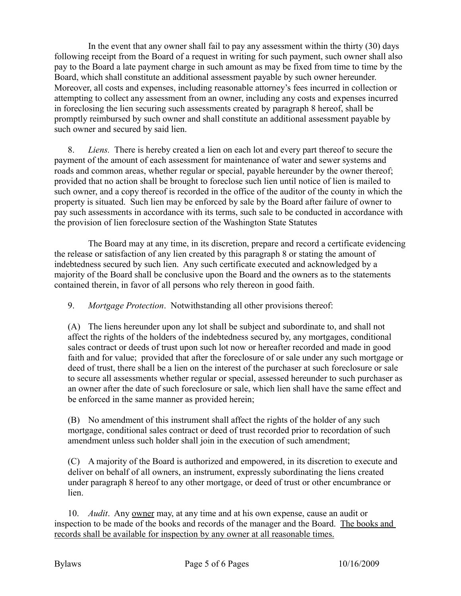In the event that any owner shall fail to pay any assessment within the thirty (30) days following receipt from the Board of a request in writing for such payment, such owner shall also pay to the Board a late payment charge in such amount as may be fixed from time to time by the Board, which shall constitute an additional assessment payable by such owner hereunder. Moreover, all costs and expenses, including reasonable attorney's fees incurred in collection or attempting to collect any assessment from an owner, including any costs and expenses incurred in foreclosing the lien securing such assessments created by paragraph 8 hereof, shall be promptly reimbursed by such owner and shall constitute an additional assessment payable by such owner and secured by said lien.

8. *Liens.* There is hereby created a lien on each lot and every part thereof to secure the payment of the amount of each assessment for maintenance of water and sewer systems and roads and common areas, whether regular or special, payable hereunder by the owner thereof; provided that no action shall be brought to foreclose such lien until notice of lien is mailed to such owner, and a copy thereof is recorded in the office of the auditor of the county in which the property is situated. Such lien may be enforced by sale by the Board after failure of owner to pay such assessments in accordance with its terms, such sale to be conducted in accordance with the provision of lien foreclosure section of the Washington State Statutes

The Board may at any time, in its discretion, prepare and record a certificate evidencing the release or satisfaction of any lien created by this paragraph 8 or stating the amount of indebtedness secured by such lien. Any such certificate executed and acknowledged by a majority of the Board shall be conclusive upon the Board and the owners as to the statements contained therein, in favor of all persons who rely thereon in good faith.

9. *Mortgage Protection*. Notwithstanding all other provisions thereof:

(A) The liens hereunder upon any lot shall be subject and subordinate to, and shall not affect the rights of the holders of the indebtedness secured by, any mortgages, conditional sales contract or deeds of trust upon such lot now or hereafter recorded and made in good faith and for value; provided that after the foreclosure of or sale under any such mortgage or deed of trust, there shall be a lien on the interest of the purchaser at such foreclosure or sale to secure all assessments whether regular or special, assessed hereunder to such purchaser as an owner after the date of such foreclosure or sale, which lien shall have the same effect and be enforced in the same manner as provided herein;

(B) No amendment of this instrument shall affect the rights of the holder of any such mortgage, conditional sales contract or deed of trust recorded prior to recordation of such amendment unless such holder shall join in the execution of such amendment;

(C) A majority of the Board is authorized and empowered, in its discretion to execute and deliver on behalf of all owners, an instrument, expressly subordinating the liens created under paragraph 8 hereof to any other mortgage, or deed of trust or other encumbrance or lien.

10. *Audit*. Any owner may, at any time and at his own expense, cause an audit or inspection to be made of the books and records of the manager and the Board. The books and records shall be available for inspection by any owner at all reasonable times.